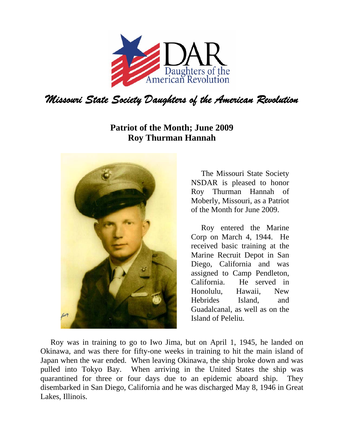

## **Patriot of the Month; June 2009 Roy Thurman Hannah**



The Missouri State Society NSDAR is pleased to honor Roy Thurman Hannah of Moberly, Missouri, as a Patriot of the Month for June 2009.

Roy entered the Marine Corp on March 4, 1944. He received basic training at the Marine Recruit Depot in San Diego, California and was assigned to Camp Pendleton, California. He served in Honolulu, Hawaii, New Hebrides Island, and Guadalcanal, as well as on the Island of Peleliu.

Roy was in training to go to Iwo Jima, but on April 1, 1945, he landed on Okinawa, and was there for fifty-one weeks in training to hit the main island of Japan when the war ended. When leaving Okinawa, the ship broke down and was pulled into Tokyo Bay. When arriving in the United States the ship was quarantined for three or four days due to an epidemic aboard ship. They disembarked in San Diego, California and he was discharged May 8, 1946 in Great Lakes, Illinois.